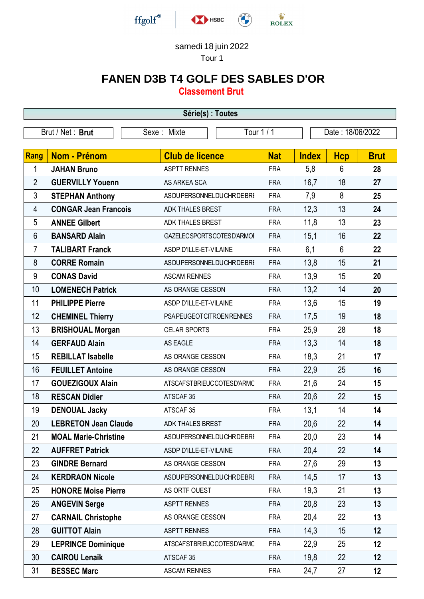

## samedi 18 juin 2022

Tour 1

## **FANEN D3B T4 GOLF DES SABLES D'OR**

**Classement Brut**

| Série(s) : Toutes |                             |                                |            |              |                  |             |  |  |  |
|-------------------|-----------------------------|--------------------------------|------------|--------------|------------------|-------------|--|--|--|
| Brut / Net: Brut  |                             | Sexe: Mixte                    | Tour 1 / 1 |              | Date: 18/06/2022 |             |  |  |  |
| <b>Rang</b>       | Nom - Prénom                | <b>Club de licence</b>         | <b>Nat</b> | <b>Index</b> | <b>Hcp</b>       | <b>Brut</b> |  |  |  |
| 1                 | <b>JAHAN Bruno</b>          | <b>ASPTT RENNES</b>            | <b>FRA</b> | 5,8          | 6                | 28          |  |  |  |
| $\overline{2}$    | <b>GUERVILLY Youenn</b>     | AS ARKEA SCA                   | <b>FRA</b> | 16,7         | 18               | 27          |  |  |  |
| 3                 | <b>STEPHAN Anthony</b>      | <b>ASDUPERSONNELDUCHRDEBRI</b> | <b>FRA</b> | 7,9          | 8                | 25          |  |  |  |
| 4                 | <b>CONGAR Jean Francois</b> | ADK THALES BREST               | <b>FRA</b> | 12,3         | 13               | 24          |  |  |  |
| 5                 | <b>ANNEE Gilbert</b>        | ADK THALES BREST               | <b>FRA</b> | 11,8         | 13               | 23          |  |  |  |
| 6                 | <b>BANSARD Alain</b>        | GAZELECSPORTSCOTESD'ARMOI      | <b>FRA</b> | 15,1         | 16               | 22          |  |  |  |
| 7                 | <b>TALIBART Franck</b>      | ASDP D'ILLE-ET-VILAINE         | <b>FRA</b> | 6,1          | $6\phantom{1}$   | 22          |  |  |  |
| 8                 | <b>CORRE Romain</b>         | ASDUPERSONNELDUCHRDEBRI        | <b>FRA</b> | 13,8         | 15               | 21          |  |  |  |
| 9                 | <b>CONAS David</b>          | <b>ASCAM RENNES</b>            | <b>FRA</b> | 13,9         | 15               | 20          |  |  |  |
| 10                | <b>LOMENECH Patrick</b>     | AS ORANGE CESSON               | <b>FRA</b> | 13,2         | 14               | 20          |  |  |  |
| 11                | <b>PHILIPPE Pierre</b>      | ASDP D'ILLE-ET-VILAINE         | <b>FRA</b> | 13,6         | 15               | 19          |  |  |  |
| 12                | <b>CHEMINEL Thierry</b>     | <b>PSAPEUGEOTCITROENRENNES</b> | <b>FRA</b> | 17,5         | 19               | 18          |  |  |  |
| 13                | <b>BRISHOUAL Morgan</b>     | <b>CELAR SPORTS</b>            | <b>FRA</b> | 25,9         | 28               | 18          |  |  |  |
| 14                | <b>GERFAUD Alain</b>        | AS EAGLE                       | <b>FRA</b> | 13,3         | 14               | 18          |  |  |  |
| 15                | <b>REBILLAT Isabelle</b>    | AS ORANGE CESSON               | <b>FRA</b> | 18,3         | 21               | 17          |  |  |  |
| 16                | <b>FEUILLET Antoine</b>     | AS ORANGE CESSON               | <b>FRA</b> | 22,9         | 25               | 16          |  |  |  |
| 17                | <b>GOUEZIGOUX Alain</b>     | ATSCAFSTBRIEUCCOTESD'ARMC      | <b>FRA</b> | 21,6         | 24               | 15          |  |  |  |
| 18                | <b>RESCAN Didier</b>        | ATSCAF 35                      | <b>FRA</b> | 20,6         | 22               | 15          |  |  |  |
| 19                | <b>DENOUAL Jacky</b>        | ATSCAF 35                      | <b>FRA</b> | 13,1         | 14               | 14          |  |  |  |
| 20                | <b>LEBRETON Jean Claude</b> | <b>ADK THALES BREST</b>        | <b>FRA</b> | 20,6         | 22               | 14          |  |  |  |
| 21                | <b>MOAL Marie-Christine</b> | ASDUPERSONNELDUCHRDEBRI        | <b>FRA</b> | 20,0         | 23               | 14          |  |  |  |
| 22                | <b>AUFFRET Patrick</b>      | ASDP D'ILLE-ET-VILAINE         | <b>FRA</b> | 20,4         | 22               | 14          |  |  |  |
| 23                | <b>GINDRE Bernard</b>       | AS ORANGE CESSON               | <b>FRA</b> | 27,6         | 29               | 13          |  |  |  |
| 24                | <b>KERDRAON Nicole</b>      | <b>ASDUPERSONNELDUCHRDEBRI</b> | <b>FRA</b> | 14,5         | 17               | 13          |  |  |  |
| 25                | <b>HONORE Moise Pierre</b>  | AS ORTF OUEST                  | <b>FRA</b> | 19,3         | 21               | 13          |  |  |  |
| 26                | <b>ANGEVIN Serge</b>        | <b>ASPTT RENNES</b>            | <b>FRA</b> | 20,8         | 23               | 13          |  |  |  |
| 27                | <b>CARNAIL Christophe</b>   | AS ORANGE CESSON               | <b>FRA</b> | 20,4         | 22               | 13          |  |  |  |
| 28                | <b>GUITTOT Alain</b>        | <b>ASPTT RENNES</b>            | <b>FRA</b> | 14,3         | 15               | 12          |  |  |  |
| 29                | <b>LEPRINCE Dominique</b>   | ATSCAFSTBRIEUCCOTESD'ARMC      | <b>FRA</b> | 22,9         | 25               | 12          |  |  |  |
| 30                | <b>CAIROU Lenaik</b>        | ATSCAF <sub>35</sub>           | <b>FRA</b> | 19,8         | 22               | 12          |  |  |  |
| 31                | <b>BESSEC Marc</b>          | <b>ASCAM RENNES</b>            | <b>FRA</b> | 24,7         | 27               | 12          |  |  |  |